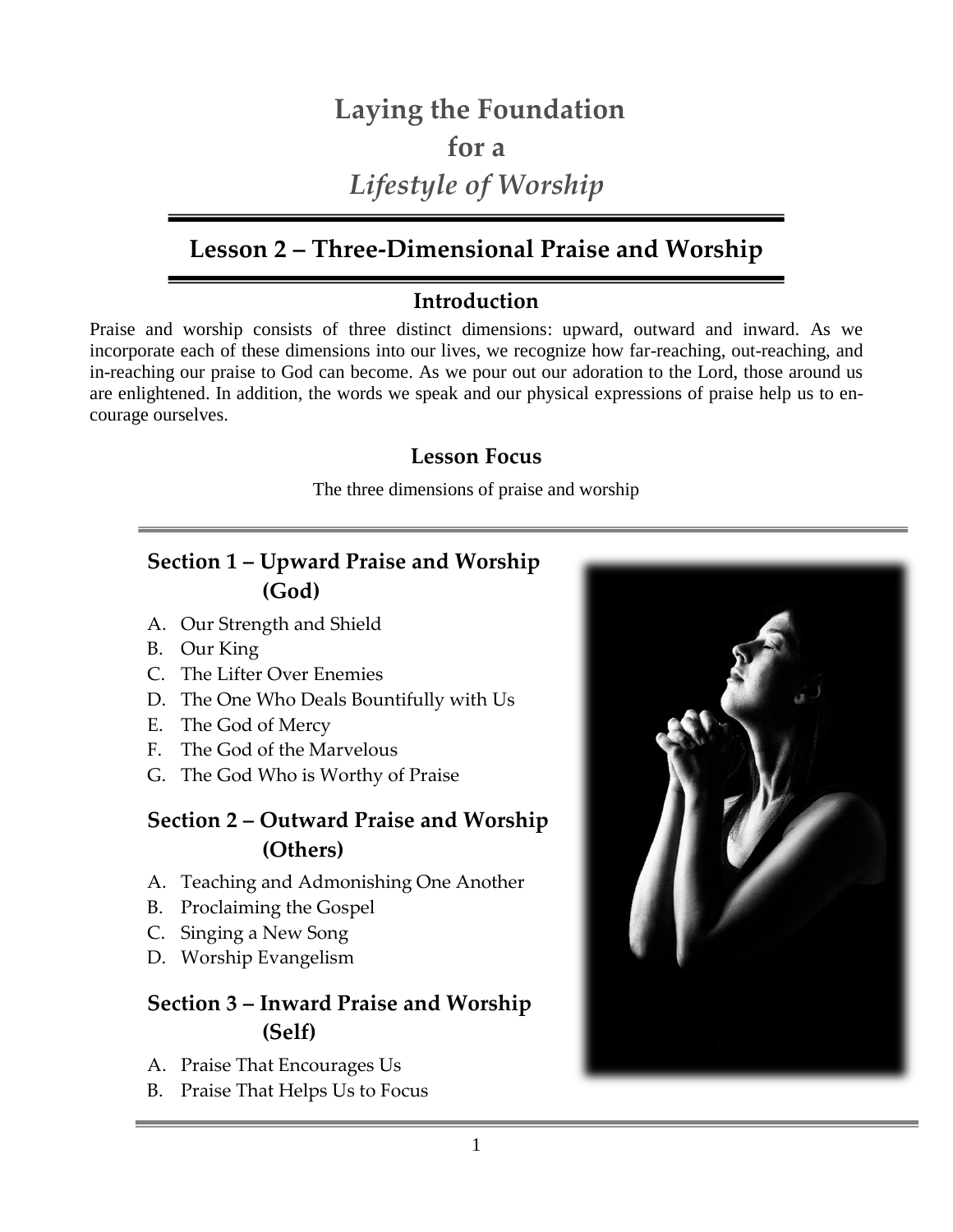# **Laying the Foundation for a**  *Lifestyle of Worship*

# **Lesson 2 – Three-Dimensional Praise and Worship**

### **Introduction**

Praise and worship consists of three distinct dimensions: upward, outward and inward. As we incorporate each of these dimensions into our lives, we recognize how far-reaching, out-reaching, and in-reaching our praise to God can become. As we pour out our adoration to the Lord, those around us are enlightened. In addition, the words we speak and our physical expressions of praise help us to encourage ourselves.

### **Lesson Focus**

The three dimensions of praise and worship

# **Section 1 – Upward Praise and Worship (God)**

- A. Our Strength and Shield
- B. Our King
- C. The Lifter Over Enemies
- D. The One Who Deals Bountifully with Us
- E. The God of Mercy
- F. The God of the Marvelous
- G. The God Who is Worthy of Praise

### **Section 2 – Outward Praise and Worship (Others)**

- A. Teaching and Admonishing One Another
- B. Proclaiming the Gospel
- C. Singing a New Song
- D. Worship Evangelism

# **Section 3 – Inward Praise and Worship (Self)**

- A. Praise That Encourages Us
- B. Praise That Helps Us to Focus

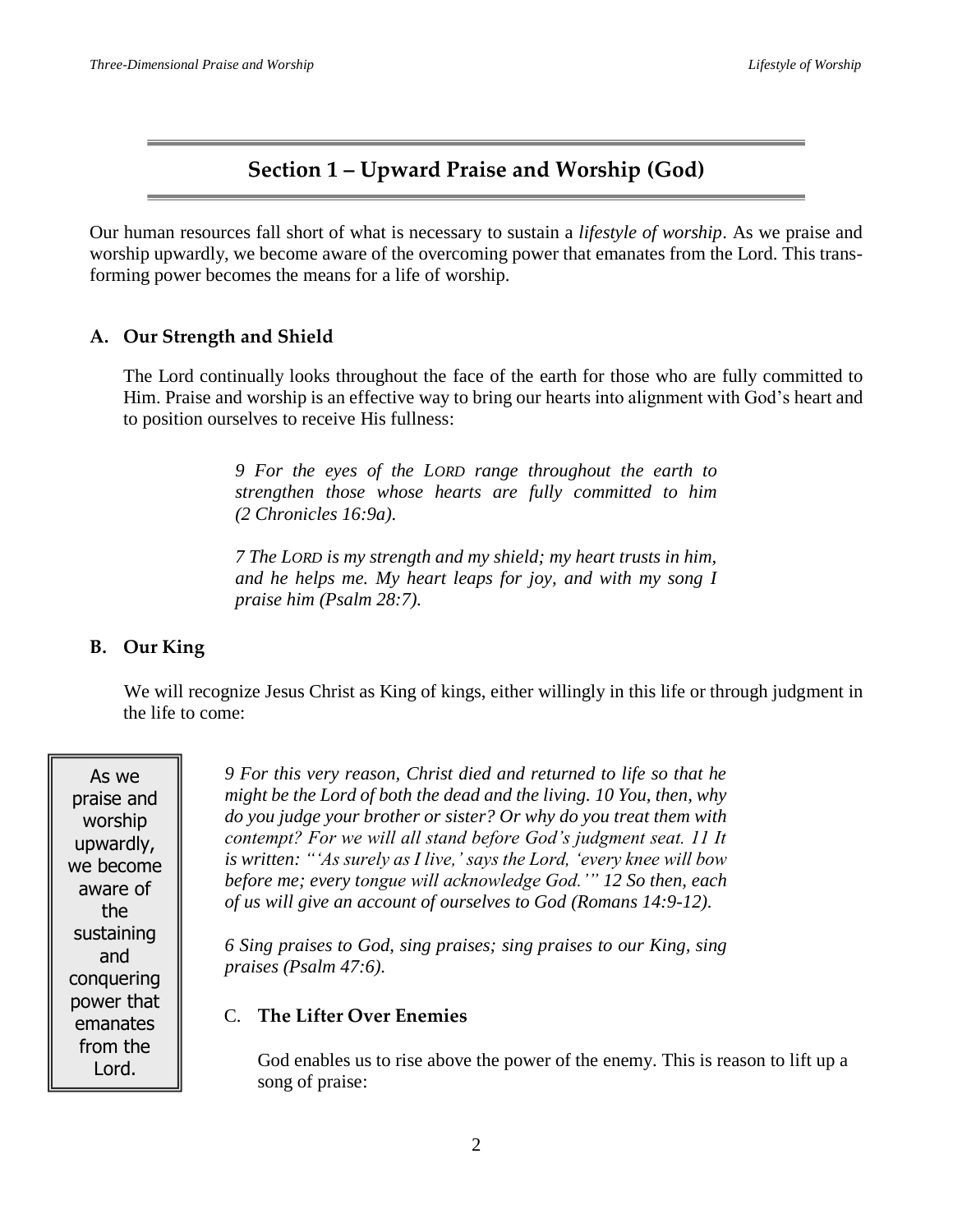### **Section 1 – Upward Praise and Worship (God)**

Our human resources fall short of what is necessary to sustain a *lifestyle of worship*. As we praise and worship upwardly, we become aware of the overcoming power that emanates from the Lord. This transforming power becomes the means for a life of worship.

#### **A. Our Strength and Shield**

The Lord continually looks throughout the face of the earth for those who are fully committed to Him. Praise and worship is an effective way to bring our hearts into alignment with God's heart and to position ourselves to receive His fullness:

> *9 For the eyes of the LORD range throughout the earth to strengthen those whose hearts are fully committed to him (2 Chronicles 16:9a).*

> *7 The LORD is my strength and my shield; my heart trusts in him, and he helps me. My heart leaps for joy, and with my song I praise him (Psalm 28:7).*

#### **B. Our King**

We will recognize Jesus Christ as King of kings, either willingly in this life or through judgment in the life to come:

As we praise and worship upwardly, we become aware of the sustaining and conquering power that emanates from the Lord.

*9 For this very reason, Christ died and returned to life so that he might be the Lord of both the dead and the living. 10 You, then, why do you judge your brother or sister? Or why do you treat them with contempt? For we will all stand before God's judgment seat. 11 It is written: "'As surely as I live,' says the Lord, 'every knee will bow before me; every tongue will acknowledge God.'" 12 So then, each of us will give an account of ourselves to God (Romans 14:9-12).*

*6 Sing praises to God, sing praises; sing praises to our King, sing praises (Psalm 47:6).*

#### C. **The Lifter Over Enemies**

God enables us to rise above the power of the enemy. This is reason to lift up a song of praise: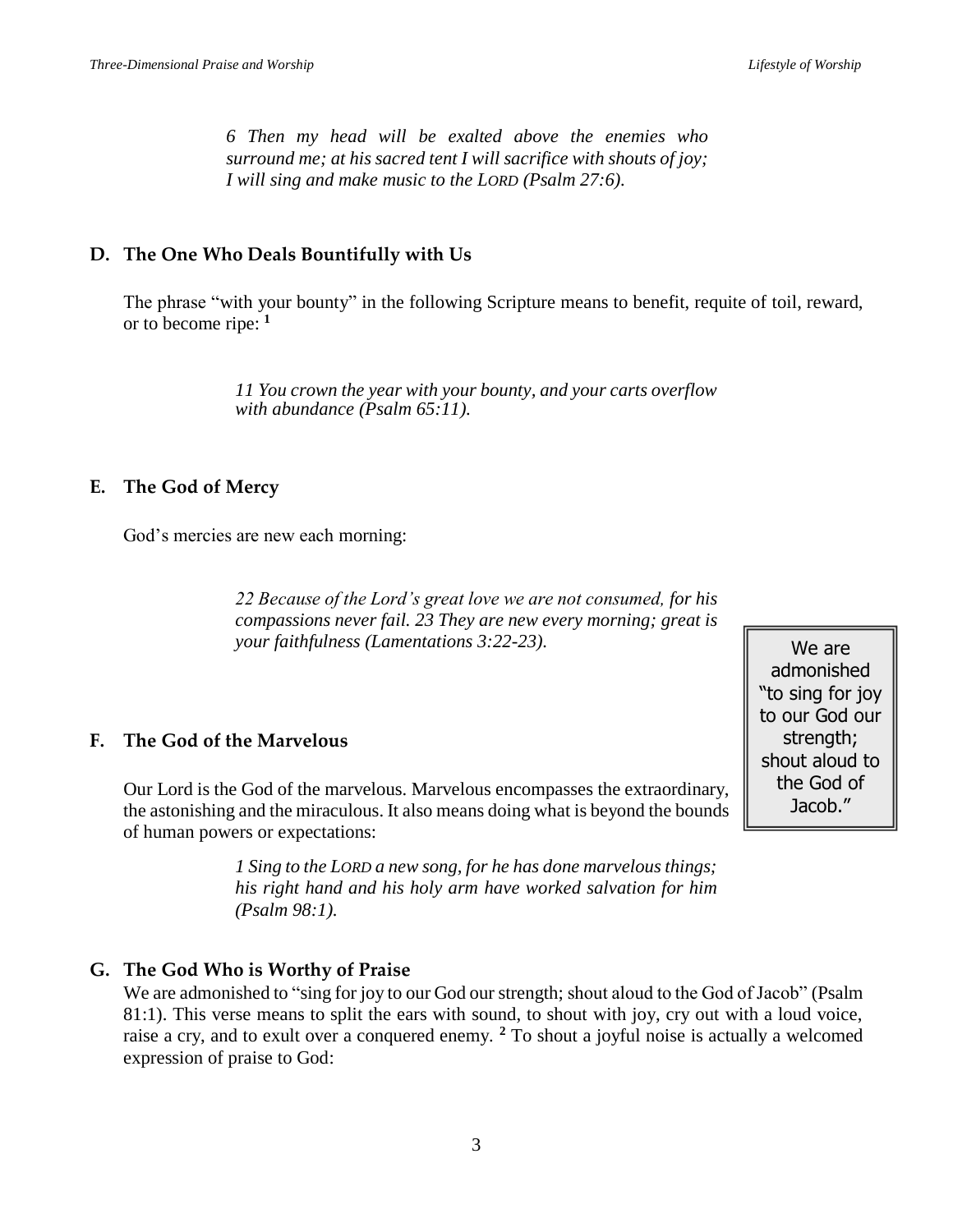*6 Then my head will be exalted above the enemies who surround me; at his sacred tent I will sacrifice with shouts of joy; I will sing and make music to the LORD (Psalm 27:6).*

#### **D. The One Who Deals Bountifully with Us**

The phrase "with your bounty" in the following Scripture means to benefit, requite of toil, reward, or to become ripe: **<sup>1</sup>**

> *11 You crown the year with your bounty, and your carts overflow with abundance (Psalm 65:11).*

#### **E. The God of Mercy**

God's mercies are new each morning:

*22 Because of the Lord's great love we are not consumed, for his compassions never fail. 23 They are new every morning; great is your faithfulness (Lamentations 3:22-23).*

#### **F. The God of the Marvelous**

Our Lord is the God of the marvelous. Marvelous encompasses the extraordinary, the astonishing and the miraculous. It also means doing what is beyond the bounds of human powers or expectations:

> *1 Sing to the LORD a new song, for he has done marvelous things; his right hand and his holy arm have worked salvation for him (Psalm 98:1).*

#### **G. The God Who is Worthy of Praise**

We are admonished to "sing for joy to our God our strength; shout aloud to the God of Jacob" (Psalm 81:1). This verse means to split the ears with sound, to shout with joy, cry out with a loud voice, raise a cry, and to exult over a conquered enemy. **<sup>2</sup>** To shout a joyful noise is actually a welcomed expression of praise to God:

We are admonished "to sing for joy to our God our strength: shout aloud to the God of Jacob."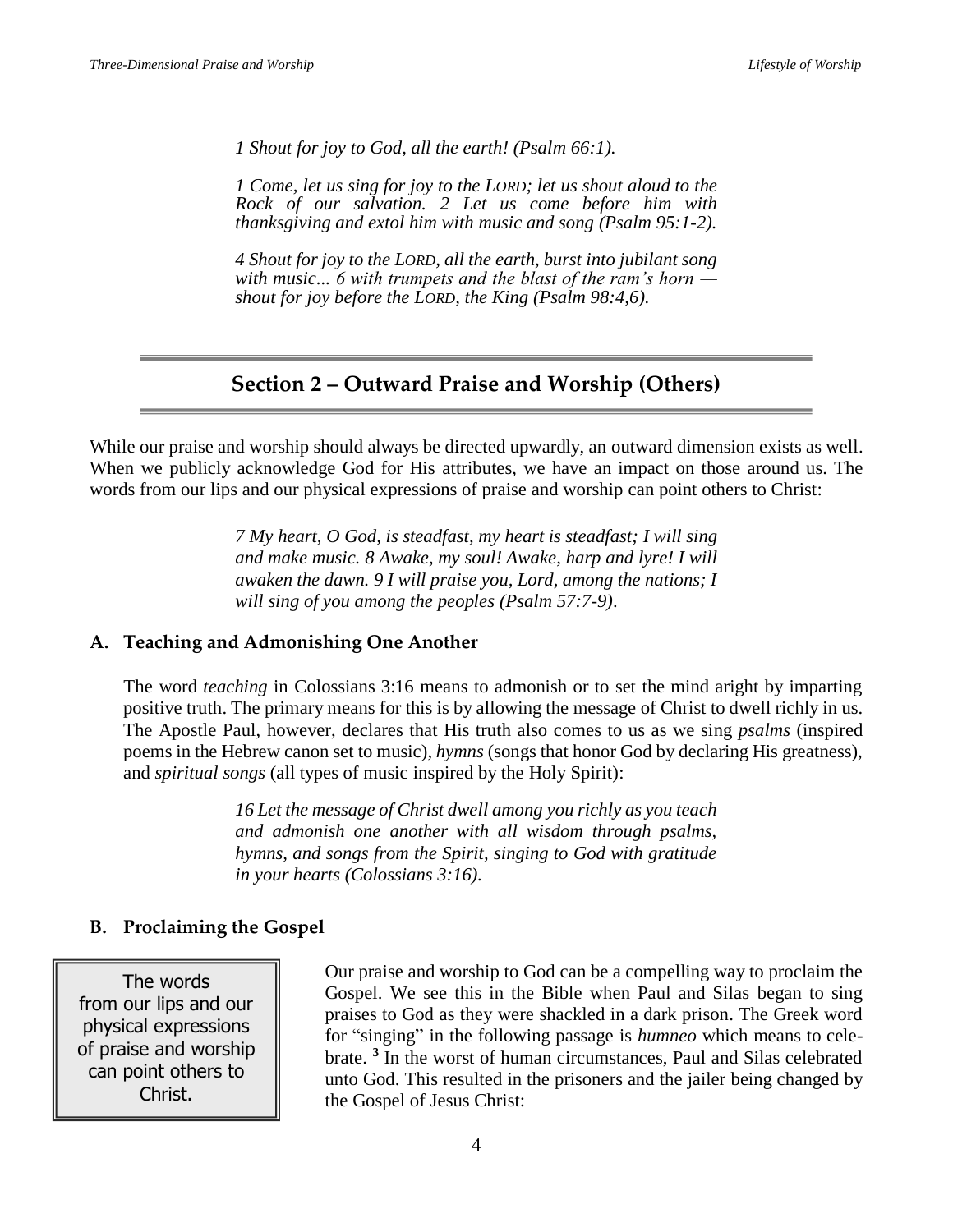*1 Shout for joy to God, all the earth! (Psalm 66:1).*

*1 Come, let us sing for joy to the LORD; let us shout aloud to the Rock of our salvation. 2 Let us come before him with thanksgiving and extol him with music and song (Psalm 95:1-2).*

*4 Shout for joy to the LORD, all the earth, burst into jubilant song with music... 6 with trumpets and the blast of the ram's horn shout for joy before the LORD, the King (Psalm 98:4,6).*

### **Section 2 – Outward Praise and Worship (Others)**

While our praise and worship should always be directed upwardly, an outward dimension exists as well. When we publicly acknowledge God for His attributes, we have an impact on those around us. The words from our lips and our physical expressions of praise and worship can point others to Christ:

> *7 My heart, O God, is steadfast, my heart is steadfast; I will sing and make music. 8 Awake, my soul! Awake, harp and lyre! I will awaken the dawn. 9 I will praise you, Lord, among the nations; I will sing of you among the peoples (Psalm 57:7-9)*.

#### **A. Teaching and Admonishing One Another**

The word *teaching* in Colossians 3:16 means to admonish or to set the mind aright by imparting positive truth. The primary means for this is by allowing the message of Christ to dwell richly in us. The Apostle Paul, however, declares that His truth also comes to us as we sing *psalms* (inspired poems in the Hebrew canon set to music), *hymns* (songs that honor God by declaring His greatness), and *spiritual songs* (all types of music inspired by the Holy Spirit):

> *16 Let the message of Christ dwell among you richly as you teach and admonish one another with all wisdom through psalms, hymns, and songs from the Spirit, singing to God with gratitude in your hearts (Colossians 3:16).*

#### **B. Proclaiming the Gospel**

The words from our lips and our physical expressions of praise and worship can point others to Christ.

Our praise and worship to God can be a compelling way to proclaim the Gospel. We see this in the Bible when Paul and Silas began to sing praises to God as they were shackled in a dark prison. The Greek word for "singing" in the following passage is *humneo* which means to celebrate. **<sup>3</sup>** In the worst of human circumstances, Paul and Silas celebrated unto God. This resulted in the prisoners and the jailer being changed by the Gospel of Jesus Christ: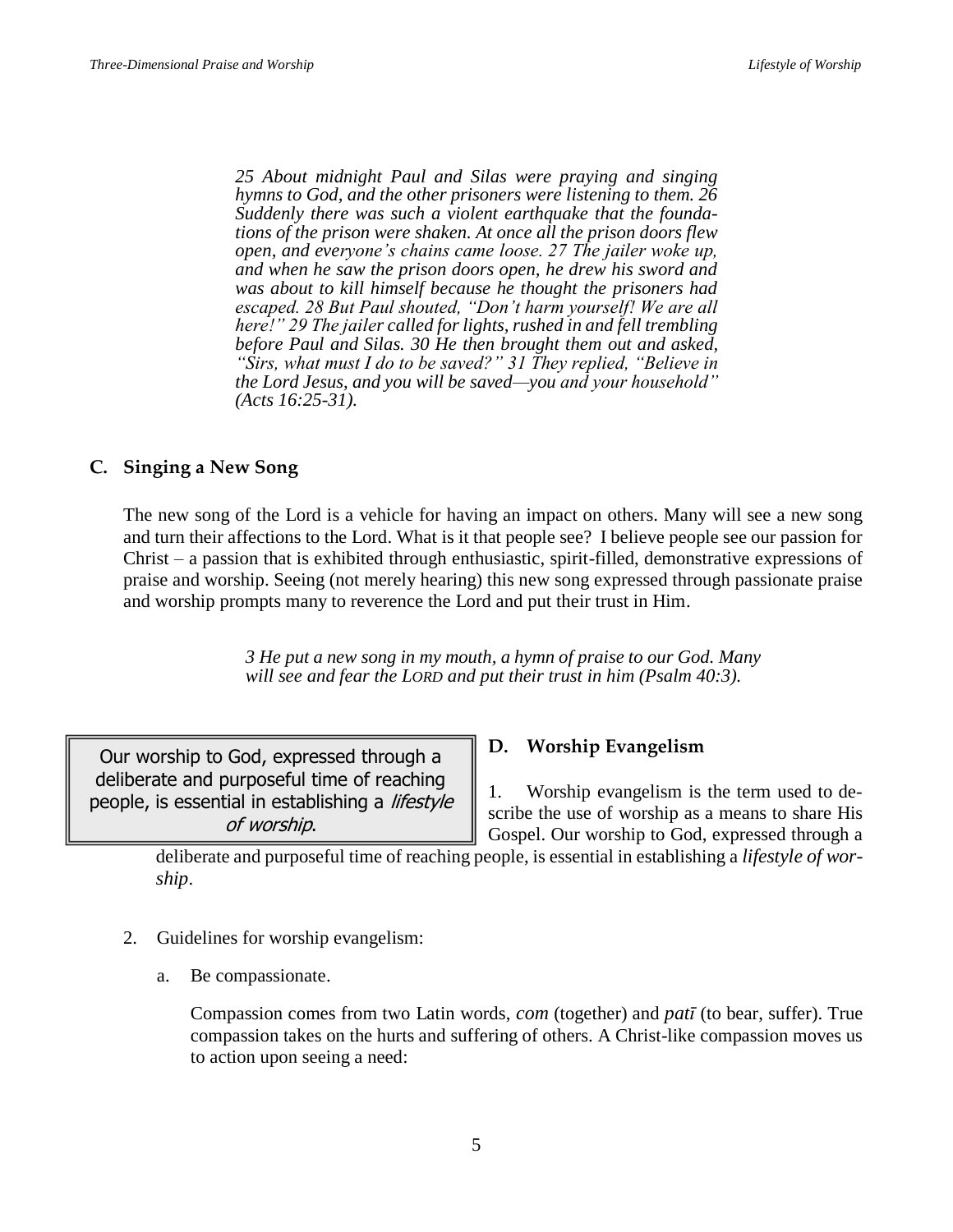*25 About midnight Paul and Silas were praying and singing hymns to God, and the other prisoners were listening to them. 26 Suddenly there was such a violent earthquake that the foundations of the prison were shaken. At once all the prison doors flew open, and everyone's chains came loose. 27 The jailer woke up, and when he saw the prison doors open, he drew his sword and was about to kill himself because he thought the prisoners had escaped. 28 But Paul shouted, "Don't harm yourself! We are all here!" 29 The jailer called for lights, rushed in and fell trembling before Paul and Silas. 30 He then brought them out and asked, "Sirs, what must I do to be saved?" 31 They replied, "Believe in the Lord Jesus, and you will be saved—you and your household" (Acts 16:25-31).*

#### **C. Singing a New Song**

The new song of the Lord is a vehicle for having an impact on others. Many will see a new song and turn their affections to the Lord. What is it that people see? I believe people see our passion for Christ – a passion that is exhibited through enthusiastic, spirit-filled, demonstrative expressions of praise and worship. Seeing (not merely hearing) this new song expressed through passionate praise and worship prompts many to reverence the Lord and put their trust in Him.

> *3 He put a new song in my mouth, a hymn of praise to our God. Many will see and fear the LORD and put their trust in him (Psalm 40:3).*

Our worship to God, expressed through a deliberate and purposeful time of reaching people, is essential in establishing a lifestyle of worship.

#### **D. Worship Evangelism**

1. Worship evangelism is the term used to describe the use of worship as a means to share His Gospel. Our worship to God, expressed through a

deliberate and purposeful time of reaching people, is essential in establishing a *lifestyle of worship*.

- 2. Guidelines for worship evangelism:
	- a. Be compassionate.

Compassion comes from two Latin words, *com* (together) and *patī* (to bear, suffer). True compassion takes on the hurts and suffering of others. A Christ-like compassion moves us to action upon seeing a need: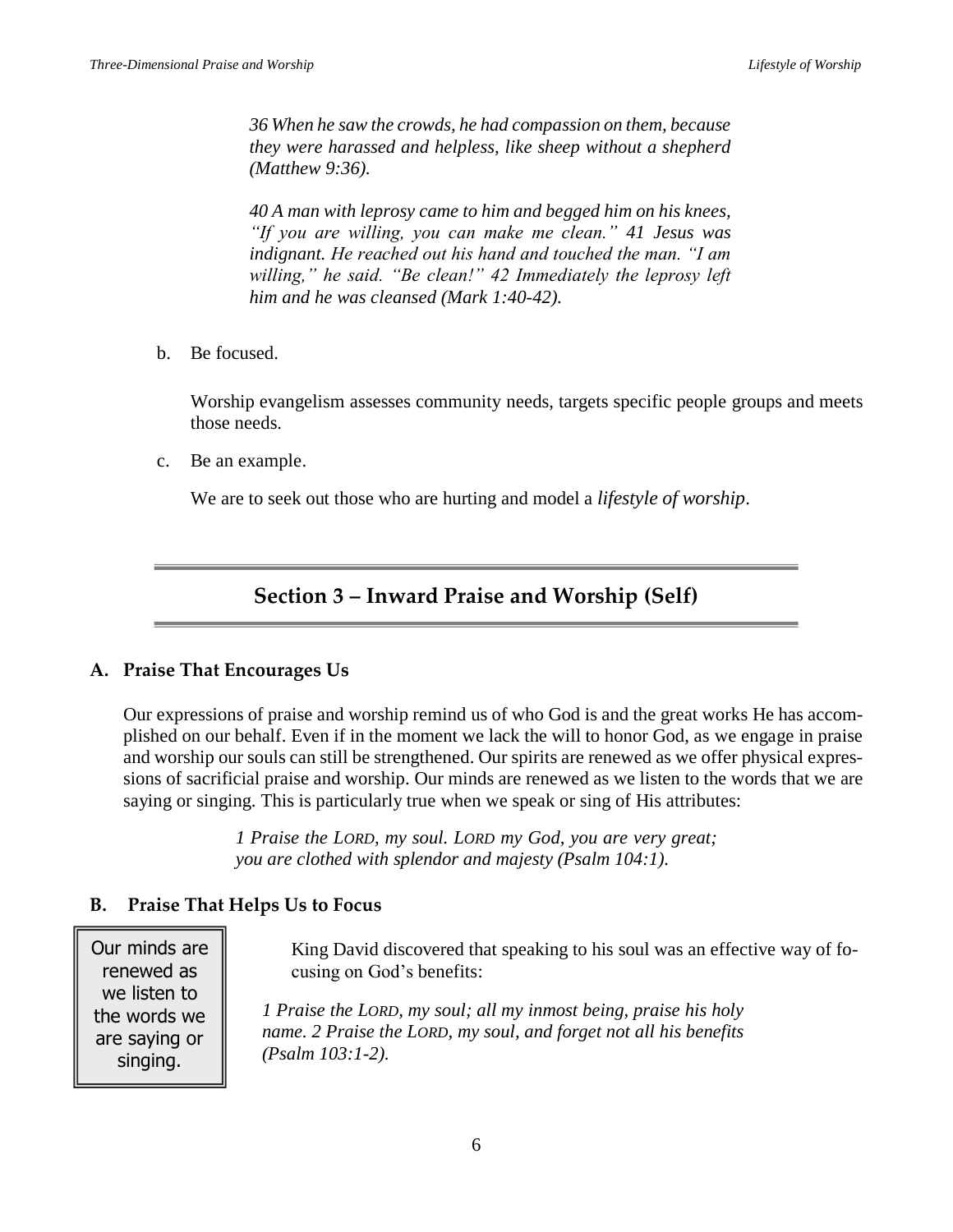*36 When he saw the crowds, he had compassion on them, because they were harassed and helpless, like sheep without a shepherd (Matthew 9:36).*

*40 A man with leprosy came to him and begged him on his knees, "If you are willing, you can make me clean." 41 Jesus was indignant. He reached out his hand and touched the man. "I am willing," he said. "Be clean!" 42 Immediately the leprosy left him and he was cleansed (Mark 1:40-42).*

b. Be focused.

Worship evangelism assesses community needs, targets specific people groups and meets those needs.

c. Be an example.

We are to seek out those who are hurting and model a *lifestyle of worship*.

### **Section 3 – Inward Praise and Worship (Self)**

#### **A. Praise That Encourages Us**

Our expressions of praise and worship remind us of who God is and the great works He has accomplished on our behalf. Even if in the moment we lack the will to honor God, as we engage in praise and worship our souls can still be strengthened. Our spirits are renewed as we offer physical expressions of sacrificial praise and worship. Our minds are renewed as we listen to the words that we are saying or singing. This is particularly true when we speak or sing of His attributes:

> *1 Praise the LORD, my soul. LORD my God, you are very great; you are clothed with splendor and majesty (Psalm 104:1).*

#### **B. Praise That Helps Us to Focus**

Our minds are renewed as we listen to the words we are saying or singing.

King David discovered that speaking to his soul was an effective way of focusing on God's benefits:

*1 Praise the LORD, my soul; all my inmost being, praise his holy name. 2 Praise the LORD, my soul, and forget not all his benefits (Psalm 103:1-2).*